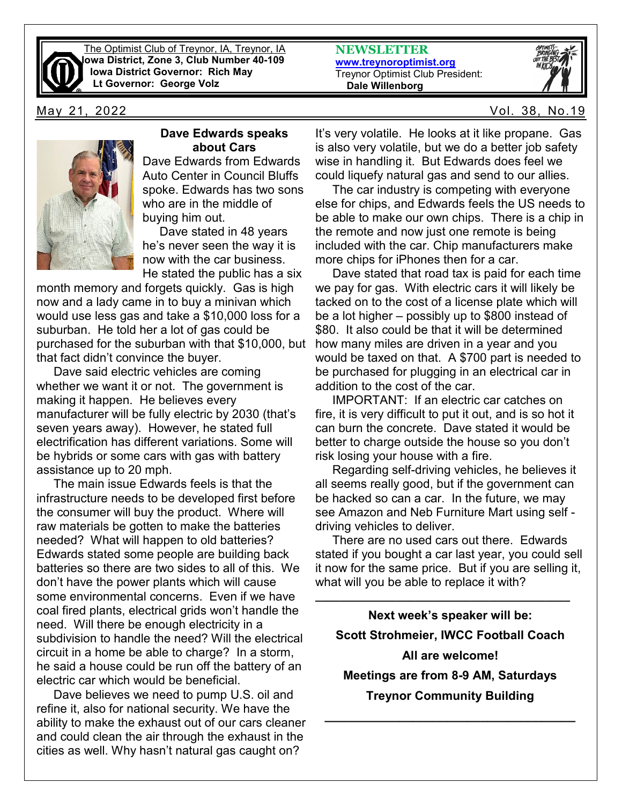

The Optimist Club of Treynor, IA, Treynor, IA **Iowa District, Zone 3, Club Number 40-109 Iowa District Governor: Rich May Lt Governor: George Volz**

**NEWSLETTER [www.treynoroptimist.org](http://www.treynoroptimist.org/)** Treynor Optimist Club President:  **Dale Willenborg**



May 21, 2022 Vol. 38, No.19



#### **Dave Edwards speaks about Cars**

Dave Edwards from Edwards Auto Center in Council Bluffs spoke. Edwards has two sons who are in the middle of buying him out.

 Dave stated in 48 years he's never seen the way it is now with the car business. He stated the public has a six

month memory and forgets quickly. Gas is high now and a lady came in to buy a minivan which would use less gas and take a \$10,000 loss for a suburban. He told her a lot of gas could be purchased for the suburban with that \$10,000, but that fact didn't convince the buyer.

 Dave said electric vehicles are coming whether we want it or not. The government is making it happen. He believes every manufacturer will be fully electric by 2030 (that's seven years away). However, he stated full electrification has different variations. Some will be hybrids or some cars with gas with battery assistance up to 20 mph.

 The main issue Edwards feels is that the infrastructure needs to be developed first before the consumer will buy the product. Where will raw materials be gotten to make the batteries needed? What will happen to old batteries? Edwards stated some people are building back batteries so there are two sides to all of this. We don't have the power plants which will cause some environmental concerns. Even if we have coal fired plants, electrical grids won't handle the need. Will there be enough electricity in a subdivision to handle the need? Will the electrical circuit in a home be able to charge? In a storm, he said a house could be run off the battery of an electric car which would be beneficial.

 Dave believes we need to pump U.S. oil and refine it, also for national security. We have the ability to make the exhaust out of our cars cleaner and could clean the air through the exhaust in the cities as well. Why hasn't natural gas caught on?

It's very volatile. He looks at it like propane. Gas is also very volatile, but we do a better job safety wise in handling it. But Edwards does feel we could liquefy natural gas and send to our allies.

 The car industry is competing with everyone else for chips, and Edwards feels the US needs to be able to make our own chips. There is a chip in the remote and now just one remote is being included with the car. Chip manufacturers make more chips for iPhones then for a car.

 Dave stated that road tax is paid for each time we pay for gas. With electric cars it will likely be tacked on to the cost of a license plate which will be a lot higher – possibly up to \$800 instead of \$80. It also could be that it will be determined how many miles are driven in a year and you would be taxed on that. A \$700 part is needed to be purchased for plugging in an electrical car in addition to the cost of the car.

 IMPORTANT: If an electric car catches on fire, it is very difficult to put it out, and is so hot it can burn the concrete. Dave stated it would be better to charge outside the house so you don't risk losing your house with a fire.

 Regarding self-driving vehicles, he believes it all seems really good, but if the government can be hacked so can a car. In the future, we may see Amazon and Neb Furniture Mart using self driving vehicles to deliver.

 There are no used cars out there. Edwards stated if you bought a car last year, you could sell it now for the same price. But if you are selling it, what will you be able to replace it with?

**\_\_\_\_\_\_\_\_\_\_\_\_\_\_\_\_\_\_\_\_\_\_\_\_\_\_\_\_\_\_\_\_\_\_\_\_\_\_\_\_\_**

**Next week's speaker will be: Scott Strohmeier, IWCC Football Coach All are welcome! Meetings are from 8-9 AM, Saturdays Treynor Community Building**

**\_\_\_\_\_\_\_\_\_\_\_\_\_\_\_\_\_\_\_\_\_\_\_\_\_\_\_\_\_\_\_\_\_\_\_\_\_**